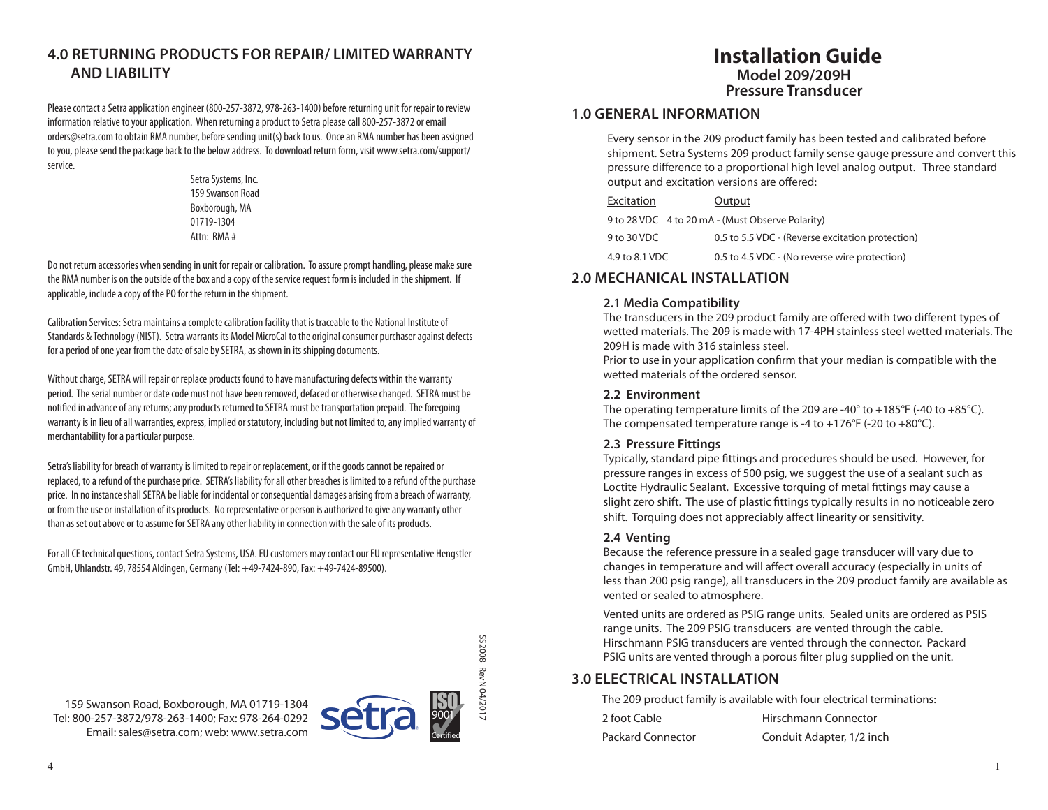# **4.0 RETURNING PRODUCTS FOR REPAIR/ LIMITED WARRANTY Installation Guide AND LIABILITY**

Please contact a Setra application engineer (800-257-3872, 978-263-1400) before returning unit for repair to review information relative to your application. When returning a product to Setra please call 800-257-3872 or email orders@setra.com to obtain RMA number, before sending unit(s) back to us. Once an RMA number has been assigned to you, please send the package back to the below address. To download return form, visit www.setra.com/support/ service.

> Setra Systems, Inc. 159 Swanson Road Boxborough, MA 01719-1304 Attn: RMA #

Do not return accessories when sending in unit for repair or calibration. To assure prompt handling, please make sure the RMA number is on the outside of the box and a copy of the service request form is included in the shipment. If applicable, include a copy of the PO for the return in the shipment.

Calibration Services: Setra maintains a complete calibration facility that is traceable to the National Institute of Standards & Technology (NIST). Setra warrants its Model MicroCal to the original consumer purchaser against defects for a period of one year from the date of sale by SETRA, as shown in its shipping documents.

Without charge, SETRA will repair or replace products found to have manufacturing defects within the warranty period. The serial number or date code must not have been removed, defaced or otherwise changed. SETRA must be notified in advance of any returns; any products returned to SETRA must be transportation prepaid. The foregoing warranty is in lieu of all warranties, express, implied or statutory, including but not limited to, any implied warranty of merchantability for a particular purpose.

Setra's liability for breach of warranty is limited to repair or replacement, or if the goods cannot be repaired or replaced, to a refund of the purchase price. SETRA's liability for all other breaches is limited to a refund of the purchase price. In no instance shall SETRA be liable for incidental or consequential damages arising from a breach of warranty, or from the use or installation of its products. No representative or person is authorized to give any warranty other than as set out above or to assume for SETRA any other liability in connection with the sale of its products.

For all CE technical questions, contact Setra Systems, USA. EU customers may contact our EU representative Hengstler GmbH, Uhlandstr. 49, 78554 Aldingen, Germany (Tel: +49-7424-890, Fax: +49-7424-89500).

# SS2008 RevN 04/2017 SS2008 RevN 04/2017

Certified

ISO 9001

**Model 209/209H Pressure Transducer** 

### **1.0 GENERAL INFORMATION**

Every sensor in the 209 product family has been tested and calibrated before shipment. Setra Systems 209 product family sense gauge pressure and convert this pressure difference to a proportional high level analog output. Three standard output and excitation versions are offered:

| Excitation     | Output                                           |
|----------------|--------------------------------------------------|
|                | 9 to 28 VDC 4 to 20 mA - (Must Observe Polarity) |
| 9 to 30 VDC    | 0.5 to 5.5 VDC - (Reverse excitation protection) |
| 4.9 to 8.1 VDC | 0.5 to 4.5 VDC - (No reverse wire protection)    |

# **2.0 MECHANICAL INSTALLATION**

### **2.1 Media Compatibility**

The transducers in the 209 product family are offered with two different types of wetted materials. The 209 is made with 17-4PH stainless steel wetted materials. The 209H is made with 316 stainless steel.

Prior to use in your application confirm that your median is compatible with the wetted materials of the ordered sensor.

### **2.2 Environment**

The operating temperature limits of the 209 are -40° to +185°F (-40 to +85°C). The compensated temperature range is -4 to  $+176^{\circ}F$  (-20 to  $+80^{\circ}C$ ).

### **2.3 Pressure Fittings**

Typically, standard pipe fittings and procedures should be used. However, for pressure ranges in excess of 500 psig, we suggest the use of a sealant such as Loctite Hydraulic Sealant. Excessive torquing of metal fittings may cause a slight zero shift. The use of plastic fittings typically results in no noticeable zero shift. Torquing does not appreciably affect linearity or sensitivity.

### **2.4 Venting**

Because the reference pressure in a sealed gage transducer will vary due to changes in temperature and will affect overall accuracy (especially in units of less than 200 psig range), all transducers in the 209 product family are available as vented or sealed to atmosphere.

Vented units are ordered as PSIG range units. Sealed units are ordered as PSIS range units. The 209 PSIG transducers are vented through the cable. Hirschmann PSIG transducers are vented through the connector. Packard PSIG units are vented through a porous filter plug supplied on the unit.

# **3.0 ELECTRICAL INSTALLATION**

The 209 product family is available with four electrical terminations:

| 2 foot Cable      | Hirschmann Connector      |  |  |
|-------------------|---------------------------|--|--|
| Packard Connector | Conduit Adapter, 1/2 inch |  |  |

159 Swanson Road, Boxborough, MA 01719-1304 Tel: 800-257-3872/978-263-1400; Fax: 978-264-0292 Email: sales@setra.com; web: www.setra.com